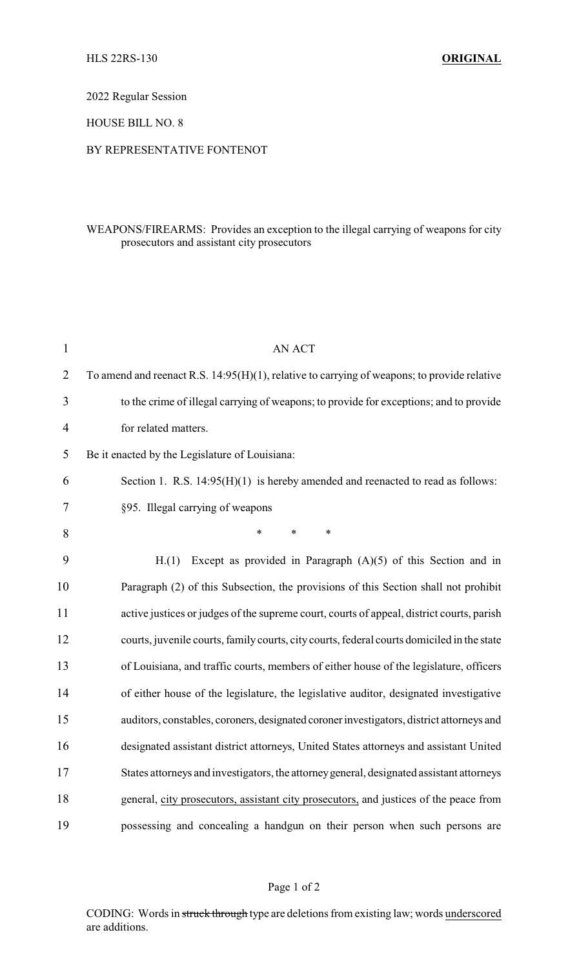2022 Regular Session

HOUSE BILL NO. 8

## BY REPRESENTATIVE FONTENOT

## WEAPONS/FIREARMS: Provides an exception to the illegal carrying of weapons for city prosecutors and assistant city prosecutors

| $\mathbf{1}$   | AN ACT                                                                                         |
|----------------|------------------------------------------------------------------------------------------------|
| $\overline{2}$ | To amend and reenact R.S. $14:95(H)(1)$ , relative to carrying of weapons; to provide relative |
| 3              | to the crime of illegal carrying of weapons; to provide for exceptions; and to provide         |
| 4              | for related matters.                                                                           |
| 5              | Be it enacted by the Legislature of Louisiana:                                                 |
| 6              | Section 1. R.S. $14:95(H)(1)$ is hereby amended and reenacted to read as follows:              |
| 7              | §95. Illegal carrying of weapons                                                               |
| 8              | $\ast$<br>$\ast$<br>$\ast$                                                                     |
| 9              | Except as provided in Paragraph $(A)(5)$ of this Section and in<br>H(1)                        |
| 10             | Paragraph (2) of this Subsection, the provisions of this Section shall not prohibit            |
| 11             | active justices or judges of the supreme court, courts of appeal, district courts, parish      |
| 12             | courts, juvenile courts, family courts, city courts, federal courts domiciled in the state     |
| 13             | of Louisiana, and traffic courts, members of either house of the legislature, officers         |
| 14             | of either house of the legislature, the legislative auditor, designated investigative          |
| 15             | auditors, constables, coroners, designated coroner investigators, district attorneys and       |
| 16             | designated assistant district attorneys, United States attorneys and assistant United          |
| 17             | States attorneys and investigators, the attorney general, designated assistant attorneys       |
| 18             | general, city prosecutors, assistant city prosecutors, and justices of the peace from          |
| 19             | possessing and concealing a handgun on their person when such persons are                      |

CODING: Words in struck through type are deletions from existing law; words underscored are additions.